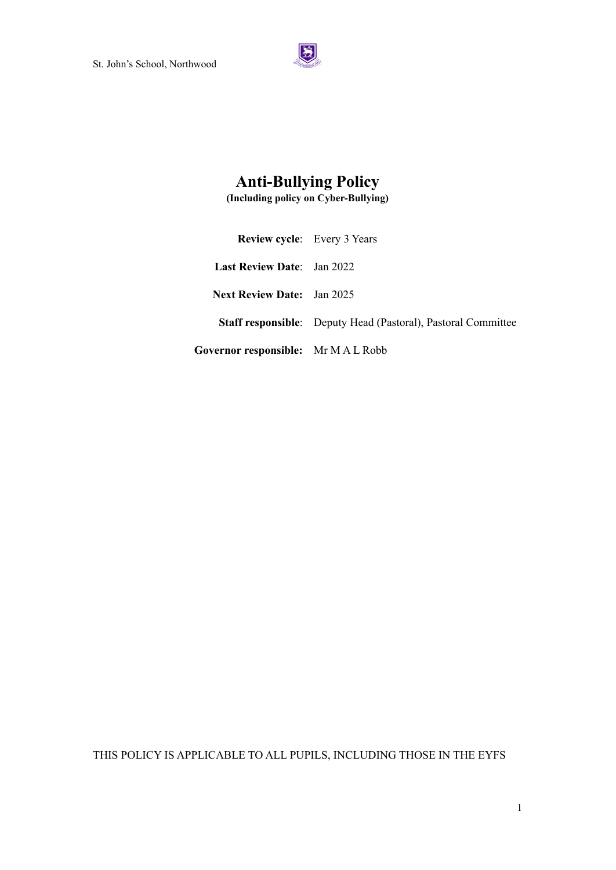

# **Anti-Bullying Policy**

**(Including policy on Cyber-Bullying)**

| <b>Review cycle:</b> Every 3 Years         |                                                                      |
|--------------------------------------------|----------------------------------------------------------------------|
| <b>Last Review Date:</b> Jan 2022          |                                                                      |
| <b>Next Review Date:</b> Jan 2025          |                                                                      |
|                                            | <b>Staff responsible:</b> Deputy Head (Pastoral), Pastoral Committee |
| <b>Governor responsible:</b> Mr M A L Robb |                                                                      |

THIS POLICY IS APPLICABLE TO ALL PUPILS, INCLUDING THOSE IN THE EYFS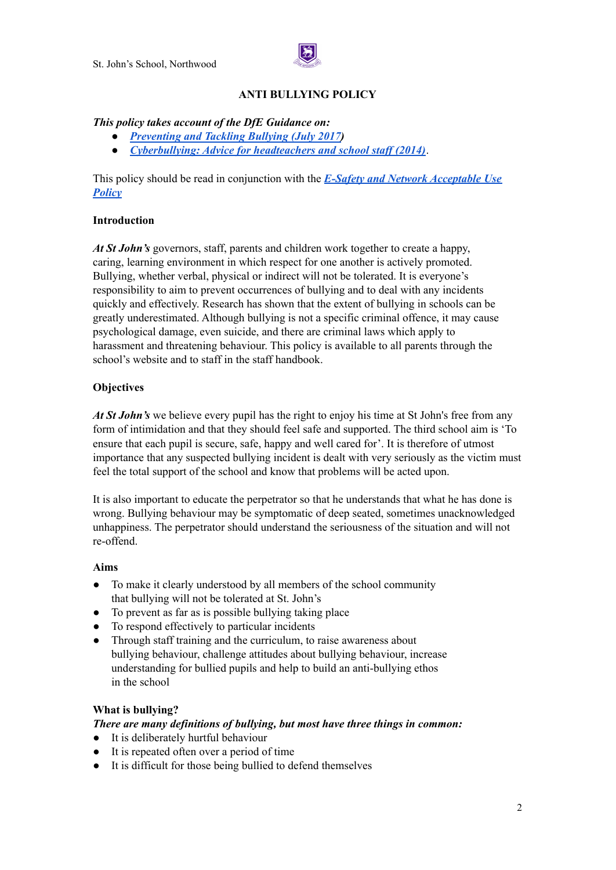

# **ANTI BULLYING POLICY**

## *This policy takes account of the DfE Guidance on:*

- *● [Preventing](https://www.gov.uk/government/uploads/system/uploads/attachment_data/file/623895/Preventing_and_tackling_bullying_advice.pdf) and Tackling Bullying (July 2017)*
- *[Cyberbullying:](https://www.gov.uk/government/uploads/system/uploads/attachment_data/file/374850/Cyberbullying_Advice_for_Headteachers_and_School_Staff_121114.pdf) Advice for headteachers and school staf (2014)*.

This policy should be read in conjunction with the *E-Safety and Network [Acceptable](https://docs.google.com/document/d/1PbHq2p8VANnn9sYAehar4Iq07M-xXfmGeoBv31Wgx9c/edit) Use [Policy](https://docs.google.com/document/d/1PbHq2p8VANnn9sYAehar4Iq07M-xXfmGeoBv31Wgx9c/edit)*

#### **Introduction**

*At St John's* governors, staff, parents and children work together to create a happy, caring, learning environment in which respect for one another is actively promoted. Bullying, whether verbal, physical or indirect will not be tolerated. It is everyone's responsibility to aim to prevent occurrences of bullying and to deal with any incidents quickly and effectively. Research has shown that the extent of bullying in schools can be greatly underestimated. Although bullying is not a specific criminal offence, it may cause psychological damage, even suicide, and there are criminal laws which apply to harassment and threatening behaviour. This policy is available to all parents through the school's website and to staff in the staff handbook.

## **Objectives**

*At St John's* we believe every pupil has the right to enjoy his time at St John's free from any form of intimidation and that they should feel safe and supported. The third school aim is 'To ensure that each pupil is secure, safe, happy and well cared for'. It is therefore of utmost importance that any suspected bullying incident is dealt with very seriously as the victim must feel the total support of the school and know that problems will be acted upon.

It is also important to educate the perpetrator so that he understands that what he has done is wrong. Bullying behaviour may be symptomatic of deep seated, sometimes unacknowledged unhappiness. The perpetrator should understand the seriousness of the situation and will not re-offend.

#### **Aims**

- To make it clearly understood by all members of the school community that bullying will not be tolerated at St. John's
- To prevent as far as is possible bullying taking place
- To respond effectively to particular incidents
- Through staff training and the curriculum, to raise awareness about bullying behaviour, challenge attitudes about bullying behaviour, increase understanding for bullied pupils and help to build an anti-bullying ethos in the school

#### **What is bullying?**

#### *There are many definitions of bullying, but most have three things in common:*

- It is deliberately hurtful behaviour
- It is repeated often over a period of time
- It is difficult for those being bullied to defend themselves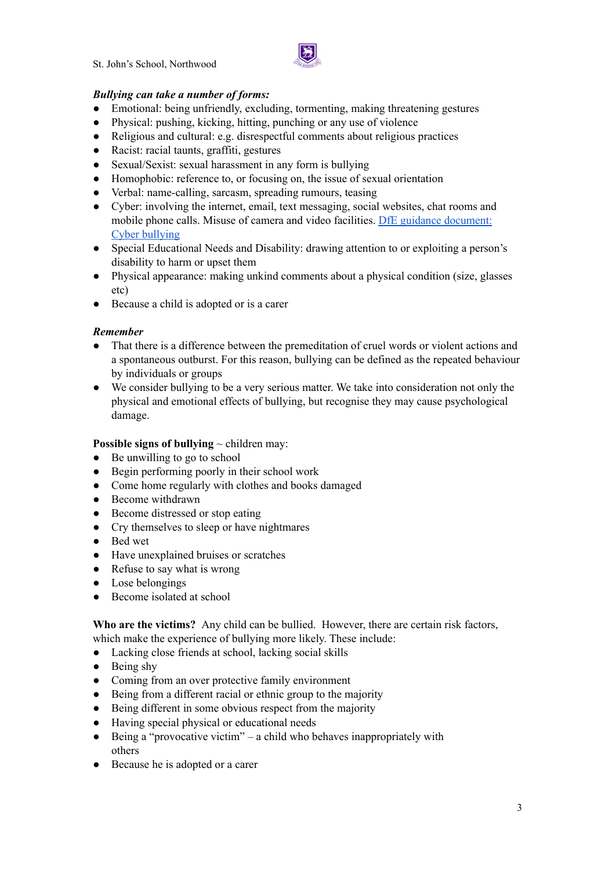

# *Bullying can take a number of forms:*

- Emotional: being unfriendly, excluding, tormenting, making threatening gestures
- Physical: pushing, kicking, hitting, punching or any use of violence
- Religious and cultural: e.g. disrespectful comments about religious practices
- Racist: racial taunts, graffiti, gestures
- Sexual/Sexist: sexual harassment in any form is bullying
- Homophobic: reference to, or focusing on, the issue of sexual orientation
- Verbal: name-calling, sarcasm, spreading rumours, teasing
- Cyber: involving the internet, email, text messaging, social websites, chat rooms and mobile phone calls. Misuse of camera and video facilities. DfE guidance [document:](https://assets.publishing.service.gov.uk/government/uploads/system/uploads/attachment_data/file/374850/Cyberbullying_Advice_for_Headteachers_and_School_Staff_121114.pdf) Cyber [bullying](https://assets.publishing.service.gov.uk/government/uploads/system/uploads/attachment_data/file/374850/Cyberbullying_Advice_for_Headteachers_and_School_Staff_121114.pdf)
- Special Educational Needs and Disability: drawing attention to or exploiting a person's disability to harm or upset them
- Physical appearance: making unkind comments about a physical condition (size, glasses etc)
- Because a child is adopted or is a carer

# *Remember*

- That there is a difference between the premeditation of cruel words or violent actions and a spontaneous outburst. For this reason, bullying can be defined as the repeated behaviour by individuals or groups
- We consider bullying to be a very serious matter. We take into consideration not only the physical and emotional effects of bullying, but recognise they may cause psychological damage.

# **Possible signs of bullying**  $\sim$  children may:

- $\bullet$  Be unwilling to go to school
- Begin performing poorly in their school work
- Come home regularly with clothes and books damaged
- Become withdrawn
- Become distressed or stop eating
- Cry themselves to sleep or have nightmares
- Bed wet
- Have unexplained bruises or scratches
- Refuse to say what is wrong
- Lose belongings
- Become isolated at school

**Who are the victims?** Any child can be bullied. However, there are certain risk factors, which make the experience of bullying more likely. These include:

- Lacking close friends at school, lacking social skills
- Being shy
- Coming from an over protective family environment
- Being from a different racial or ethnic group to the majority
- Being different in some obvious respect from the majority
- Having special physical or educational needs
- Being a "provocative victim" a child who behaves inappropriately with others
- Because he is adopted or a carer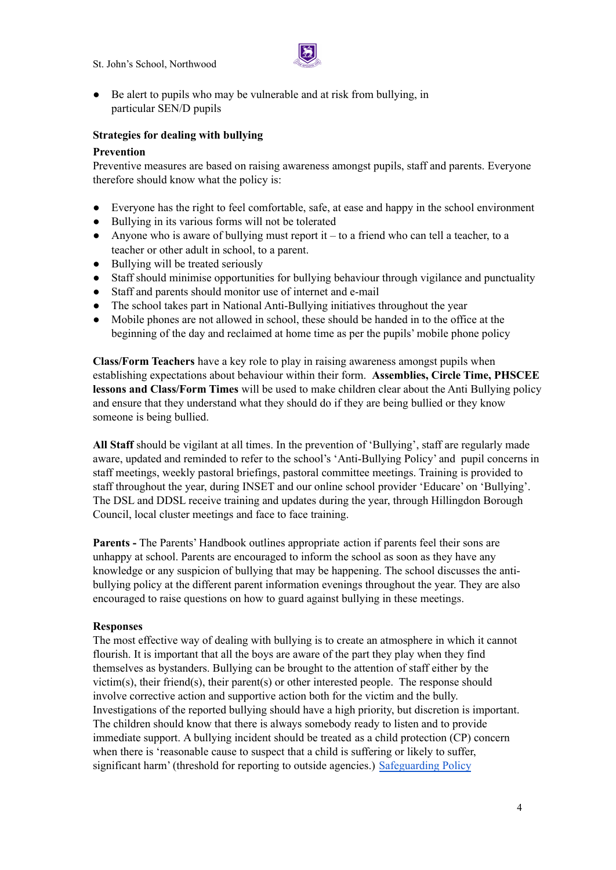

● Be alert to pupils who may be vulnerable and at risk from bullying, in particular SEN/D pupils

#### **Strategies for dealing with bullying**

#### **Prevention**

Preventive measures are based on raising awareness amongst pupils, staff and parents. Everyone therefore should know what the policy is:

- Everyone has the right to feel comfortable, safe, at ease and happy in the school environment
- Bullying in its various forms will not be tolerated
- Anyone who is aware of bullying must report it to a friend who can tell a teacher, to a teacher or other adult in school, to a parent.
- Bullying will be treated seriously
- Staff should minimise opportunities for bullying behaviour through vigilance and punctuality
- Staff and parents should monitor use of internet and e-mail
- The school takes part in National Anti-Bullying initiatives throughout the year
- Mobile phones are not allowed in school, these should be handed in to the office at the beginning of the day and reclaimed at home time as per the pupils' mobile phone policy

**Class/Form Teachers** have a key role to play in raising awareness amongst pupils when establishing expectations about behaviour within their form. **Assemblies, Circle Time, PHSCEE lessons and Class/Form Times** will be used to make children clear about the Anti Bullying policy and ensure that they understand what they should do if they are being bullied or they know someone is being bullied.

**All Staff** should be vigilant at all times. In the prevention of 'Bullying', staff are regularly made aware, updated and reminded to refer to the school's 'Anti-Bullying Policy' and pupil concerns in staff meetings, weekly pastoral briefings, pastoral committee meetings. Training is provided to staff throughout the year, during INSET and our online school provider 'Educare' on 'Bullying'. The DSL and DDSL receive training and updates during the year, through Hillingdon Borough Council, local cluster meetings and face to face training.

**Parents -** The Parents' Handbook outlines appropriate action if parents feel their sons are unhappy at school. Parents are encouraged to inform the school as soon as they have any knowledge or any suspicion of bullying that may be happening. The school discusses the antibullying policy at the different parent information evenings throughout the year. They are also encouraged to raise questions on how to guard against bullying in these meetings.

#### **Responses**

The most effective way of dealing with bullying is to create an atmosphere in which it cannot flourish. It is important that all the boys are aware of the part they play when they find themselves as bystanders. Bullying can be brought to the attention of staff either by the victim(s), their friend(s), their parent(s) or other interested people. The response should involve corrective action and supportive action both for the victim and the bully. Investigations of the reported bullying should have a high priority, but discretion is important. The children should know that there is always somebody ready to listen and to provide immediate support. A bullying incident should be treated as a child protection (CP) concern when there is 'reasonable cause to suspect that a child is suffering or likely to suffer, significant harm' (threshold for reporting to outside agencies.) [Safeguarding](https://docs.google.com/document/d/1hVSZES0VhS7Kdn3l1AC0R8yVoo-y2rS79wqLo6PHaO8/edit#heading=h.3ad60f817g8c) Policy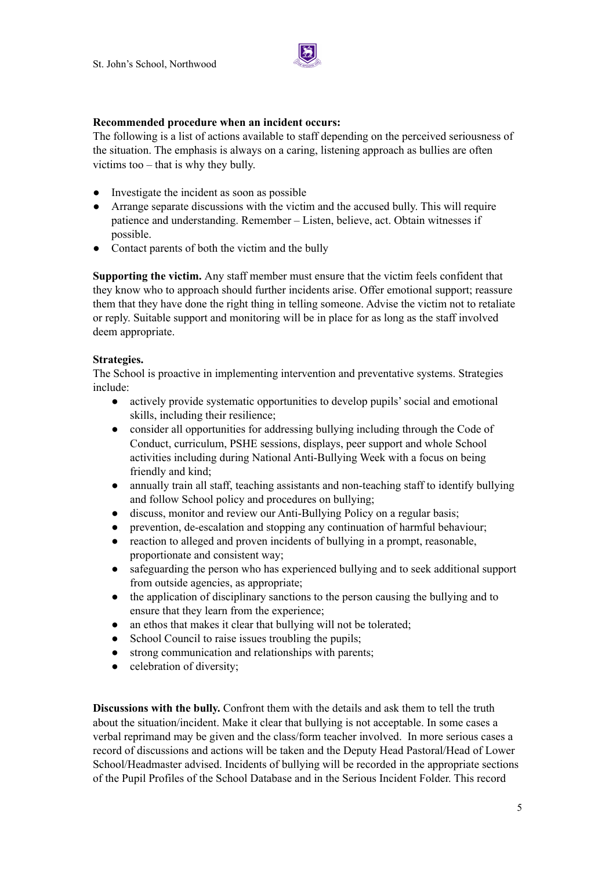

## **Recommended procedure when an incident occurs:**

The following is a list of actions available to staff depending on the perceived seriousness of the situation. The emphasis is always on a caring, listening approach as bullies are often victims too – that is why they bully.

- Investigate the incident as soon as possible
- Arrange separate discussions with the victim and the accused bully. This will require patience and understanding. Remember – Listen, believe, act. Obtain witnesses if possible.
- Contact parents of both the victim and the bully

**Supporting the victim.** Any staff member must ensure that the victim feels confident that they know who to approach should further incidents arise. Offer emotional support; reassure them that they have done the right thing in telling someone. Advise the victim not to retaliate or reply. Suitable support and monitoring will be in place for as long as the staff involved deem appropriate.

## **Strategies.**

The School is proactive in implementing intervention and preventative systems. Strategies include:

- actively provide systematic opportunities to develop pupils'social and emotional skills, including their resilience;
- consider all opportunities for addressing bullying including through the Code of Conduct, curriculum, PSHE sessions, displays, peer support and whole School activities including during National Anti-Bullying Week with a focus on being friendly and kind;
- annually train all staff, teaching assistants and non-teaching staff to identify bullying and follow School policy and procedures on bullying;
- discuss, monitor and review our Anti-Bullying Policy on a regular basis;
- prevention, de-escalation and stopping any continuation of harmful behaviour;
- reaction to alleged and proven incidents of bullying in a prompt, reasonable, proportionate and consistent way;
- safeguarding the person who has experienced bullying and to seek additional support from outside agencies, as appropriate;
- the application of disciplinary sanctions to the person causing the bullying and to ensure that they learn from the experience;
- an ethos that makes it clear that bullying will not be tolerated;
- School Council to raise issues troubling the pupils;
- strong communication and relationships with parents;
- celebration of diversity:

**Discussions with the bully.** Confront them with the details and ask them to tell the truth about the situation/incident. Make it clear that bullying is not acceptable. In some cases a verbal reprimand may be given and the class/form teacher involved. In more serious cases a record of discussions and actions will be taken and the Deputy Head Pastoral/Head of Lower School/Headmaster advised. Incidents of bullying will be recorded in the appropriate sections of the Pupil Profiles of the School Database and in the Serious Incident Folder. This record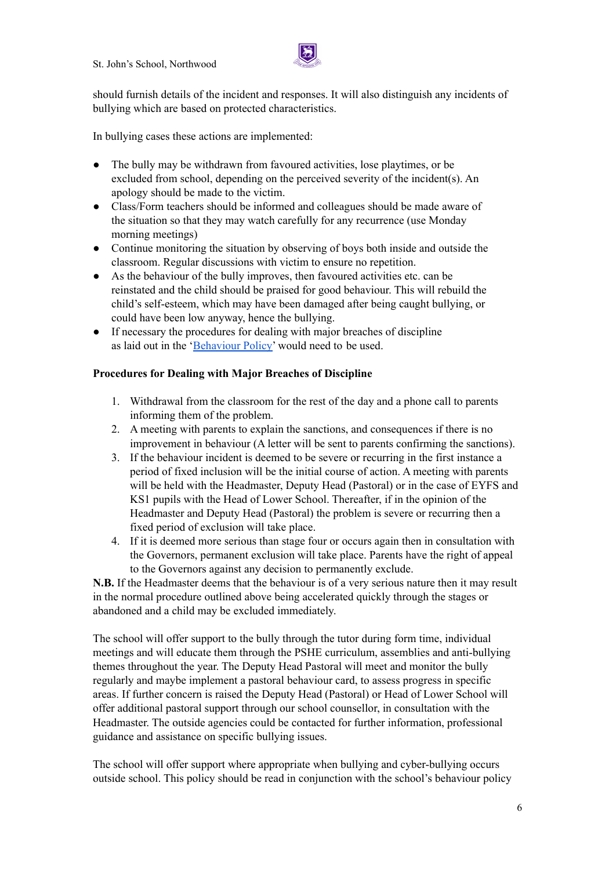

should furnish details of the incident and responses. It will also distinguish any incidents of bullying which are based on protected characteristics.

In bullying cases these actions are implemented:

- The bully may be withdrawn from favoured activities, lose playtimes, or be excluded from school, depending on the perceived severity of the incident(s). An apology should be made to the victim.
- Class/Form teachers should be informed and colleagues should be made aware of the situation so that they may watch carefully for any recurrence (use Monday morning meetings)
- Continue monitoring the situation by observing of boys both inside and outside the classroom. Regular discussions with victim to ensure no repetition.
- As the behaviour of the bully improves, then favoured activities etc. can be reinstated and the child should be praised for good behaviour. This will rebuild the child's self-esteem, which may have been damaged after being caught bullying, or could have been low anyway, hence the bullying.
- If necessary the procedures for dealing with major breaches of discipline as laid out in the '[Behaviour](https://docs.google.com/document/d/1tkwxg-CoBclu1e1zNmdxtkPCVDwJCt2o21YZeiLrrRg/edit) Policy' would need to be used.

#### **Procedures for Dealing with Major Breaches of Discipline**

- 1. Withdrawal from the classroom for the rest of the day and a phone call to parents informing them of the problem.
- 2. A meeting with parents to explain the sanctions, and consequences if there is no improvement in behaviour (A letter will be sent to parents confirming the sanctions).
- 3. If the behaviour incident is deemed to be severe or recurring in the first instance a period of fixed inclusion will be the initial course of action. A meeting with parents will be held with the Headmaster, Deputy Head (Pastoral) or in the case of EYFS and KS1 pupils with the Head of Lower School. Thereafter, if in the opinion of the Headmaster and Deputy Head (Pastoral) the problem is severe or recurring then a fixed period of exclusion will take place.
- 4. If it is deemed more serious than stage four or occurs again then in consultation with the Governors, permanent exclusion will take place. Parents have the right of appeal to the Governors against any decision to permanently exclude.

**N.B.** If the Headmaster deems that the behaviour is of a very serious nature then it may result in the normal procedure outlined above being accelerated quickly through the stages or abandoned and a child may be excluded immediately.

The school will offer support to the bully through the tutor during form time, individual meetings and will educate them through the PSHE curriculum, assemblies and anti-bullying themes throughout the year. The Deputy Head Pastoral will meet and monitor the bully regularly and maybe implement a pastoral behaviour card, to assess progress in specific areas. If further concern is raised the Deputy Head (Pastoral) or Head of Lower School will offer additional pastoral support through our school counsellor, in consultation with the Headmaster. The outside agencies could be contacted for further information, professional guidance and assistance on specific bullying issues.

The school will offer support where appropriate when bullying and cyber-bullying occurs outside school. This policy should be read in conjunction with the school's behaviour policy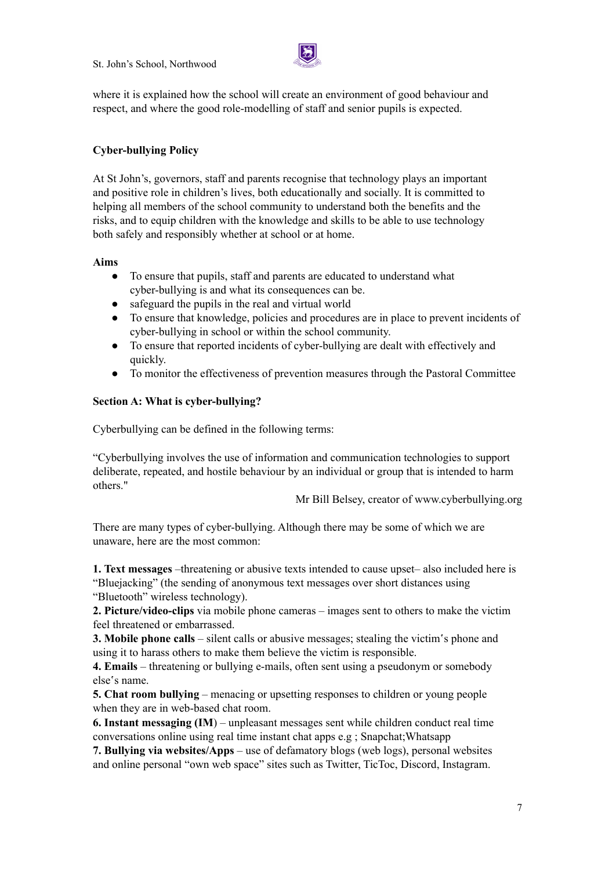

where it is explained how the school will create an environment of good behaviour and respect, and where the good role-modelling of staff and senior pupils is expected.

# **Cyber-bullying Policy**

At St John's, governors, staff and parents recognise that technology plays an important and positive role in children's lives, both educationally and socially. It is committed to helping all members of the school community to understand both the benefits and the risks, and to equip children with the knowledge and skills to be able to use technology both safely and responsibly whether at school or at home.

#### **Aims**

- To ensure that pupils, staff and parents are educated to understand what cyber-bullying is and what its consequences can be.
- safeguard the pupils in the real and virtual world
- To ensure that knowledge, policies and procedures are in place to prevent incidents of cyber-bullying in school or within the school community.
- To ensure that reported incidents of cyber-bullying are dealt with effectively and quickly.
- To monitor the effectiveness of prevention measures through the Pastoral Committee

# **Section A: What is cyber-bullying?**

Cyberbullying can be defined in the following terms:

"Cyberbullying involves the use of information and communication technologies to support deliberate, repeated, and hostile behaviour by an individual or group that is intended to harm others."

Mr Bill Belsey, creator of www.cyberbullying.org

There are many types of cyber-bullying. Although there may be some of which we are unaware, here are the most common:

**1. Text messages** –threatening or abusive texts intended to cause upset– also included here is "Bluejacking" (the sending of anonymous text messages over short distances using "Bluetooth" wireless technology).

**2. Picture/video-clips** via mobile phone cameras – images sent to others to make the victim feel threatened or embarrassed.

**3. Mobile phone calls** – silent calls or abusive messages; stealing the victim's phone and using it to harass others to make them believe the victim is responsible.

**4. Emails** – threatening or bullying e-mails, often sent using a pseudonym or somebody else's name.

**5. Chat room bullying** – menacing or upsetting responses to children or young people when they are in web-based chat room.

**6. Instant messaging (IM**) – unpleasant messages sent while children conduct real time conversations online using real time instant chat apps e.g ; Snapchat;Whatsapp

**7. Bullying via websites/Apps** – use of defamatory blogs (web logs), personal websites and online personal "own web space" sites such as Twitter, TicToc, Discord, Instagram.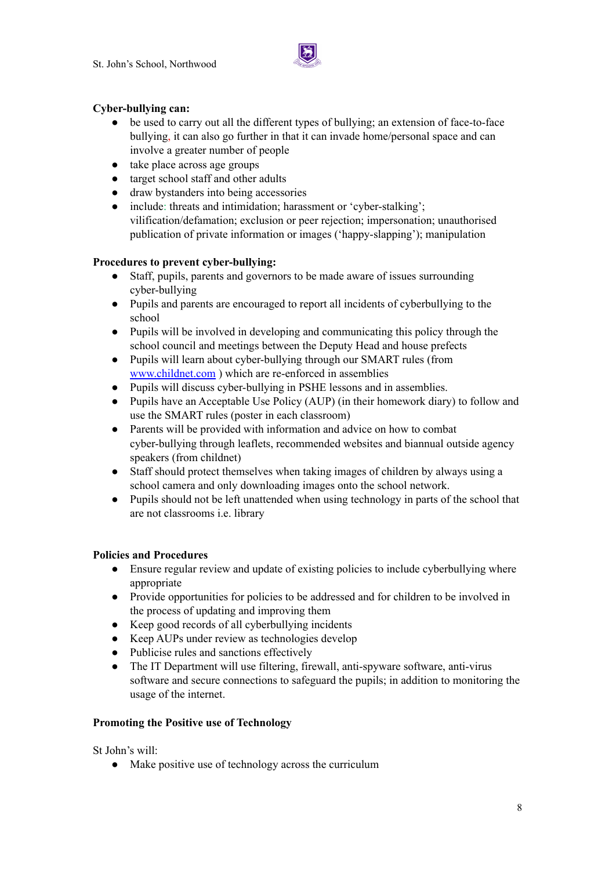

## **Cyber-bullying can:**

- be used to carry out all the different types of bullying; an extension of face-to-face bullying, it can also go further in that it can invade home/personal space and can involve a greater number of people
- take place across age groups
- target school staff and other adults
- draw bystanders into being accessories
- include: threats and intimidation; harassment or 'cyber-stalking'; vilification/defamation; exclusion or peer rejection; impersonation; unauthorised publication of private information or images ('happy-slapping'); manipulation

## **Procedures to prevent cyber-bullying:**

- Staff, pupils, parents and governors to be made aware of issues surrounding cyber-bullying
- Pupils and parents are encouraged to report all incidents of cyberbullying to the school
- Pupils will be involved in developing and communicating this policy through the school council and meetings between the Deputy Head and house prefects
- Pupils will learn about cyber-bullying through our SMART rules (from [www.childnet.com](http://www.childnet.com) ) which are re-enforced in assemblies
- Pupils will discuss cyber-bullying in PSHE lessons and in assemblies.
- Pupils have an Acceptable Use Policy (AUP) (in their homework diary) to follow and use the SMART rules (poster in each classroom)
- Parents will be provided with information and advice on how to combat cyber-bullying through leaflets, recommended websites and biannual outside agency speakers (from childnet)
- Staff should protect themselves when taking images of children by always using a school camera and only downloading images onto the school network.
- Pupils should not be left unattended when using technology in parts of the school that are not classrooms i.e. library

#### **Policies and Procedures**

- Ensure regular review and update of existing policies to include cyberbullying where appropriate
- Provide opportunities for policies to be addressed and for children to be involved in the process of updating and improving them
- Keep good records of all cyberbullying incidents
- Keep AUPs under review as technologies develop
- Publicise rules and sanctions effectively
- The IT Department will use filtering, firewall, anti-spyware software, anti-virus software and secure connections to safeguard the pupils; in addition to monitoring the usage of the internet.

# **Promoting the Positive use of Technology**

St John's will:

● Make positive use of technology across the curriculum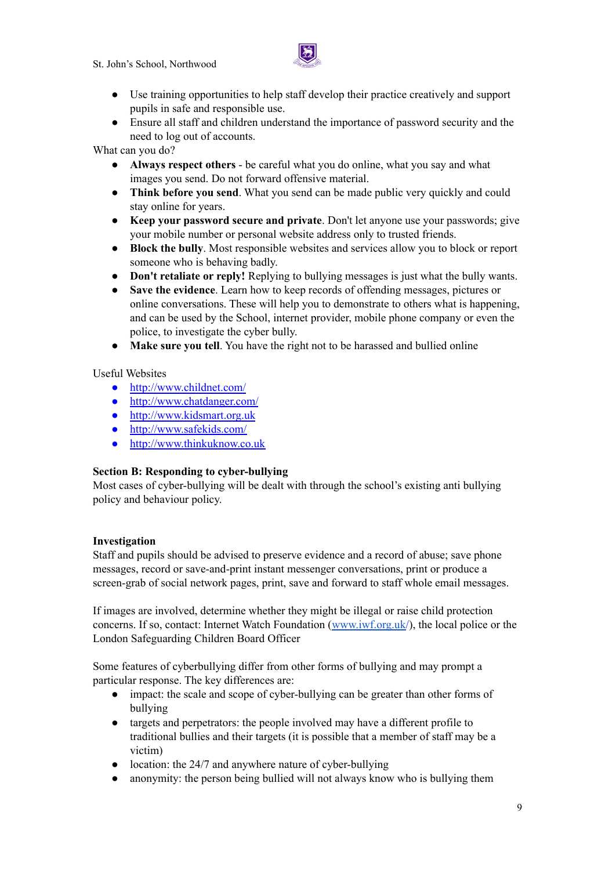

- Use training opportunities to help staff develop their practice creatively and support pupils in safe and responsible use.
- Ensure all staff and children understand the importance of password security and the need to log out of accounts.

What can you do?

- **Always respect others** be careful what you do online, what you say and what images you send. Do not forward offensive material.
- **Think before you send**. What you send can be made public very quickly and could stay online for years.
- **Keep your password secure and private**. Don't let anyone use your passwords; give your mobile number or personal website address only to trusted friends.
- **Block the bully**. Most responsible websites and services allow you to block or report someone who is behaving badly.
- **Don't retaliate or reply!** Replying to bullying messages is just what the bully wants.
- **Save the evidence**. Learn how to keep records of offending messages, pictures or online conversations. These will help you to demonstrate to others what is happening, and can be used by the School, internet provider, mobile phone company or even the police, to investigate the cyber bully.
- **Make sure you tell**. You have the right not to be harassed and bullied online

# Useful Websites

- <http://www.childnet.com/>
- <http://www.chatdanger.com/>
- [http://www.kidsmart.org.uk](http://www.kidsmart.org.uk/)
- <http://www.safekids.com/>
- [http://www.thinkuknow.co.uk](http://www.thinkuknow.co.uk/)

# **Section B: Responding to cyber-bullying**

Most cases of cyber-bullying will be dealt with through the school's existing anti bullying policy and behaviour policy.

# **Investigation**

Staff and pupils should be advised to preserve evidence and a record of abuse; save phone messages, record or save-and-print instant messenger conversations, print or produce a screen-grab of social network pages, print, save and forward to staff whole email messages.

If images are involved, determine whether they might be illegal or raise child protection concerns. If so, contact: Internet Watch Foundation [\(www.iwf.org.uk/](http://www.iwf.org.uk)), the local police or the London Safeguarding Children Board Officer

Some features of cyberbullying differ from other forms of bullying and may prompt a particular response. The key differences are:

- impact: the scale and scope of cyber-bullying can be greater than other forms of bullying
- targets and perpetrators: the people involved may have a different profile to traditional bullies and their targets (it is possible that a member of staff may be a victim)
- location: the 24/7 and anywhere nature of cyber-bullying
- anonymity: the person being bullied will not always know who is bullying them